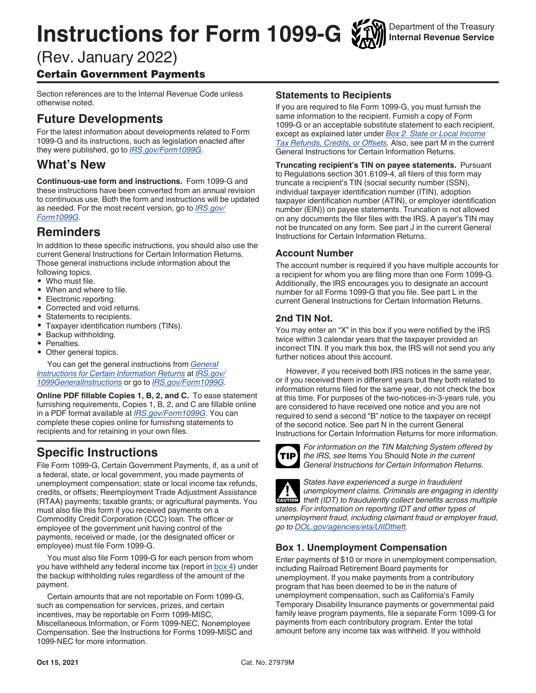# **Instructions for Form 1099-G**

Department of the Treasury **Internal Revenue Service**

# (Rev. January 2022)

# Certain Government Payments

Section references are to the Internal Revenue Code unless otherwise noted.

# **Future Developments**

For the latest information about developments related to Form 1099-G and its instructions, such as legislation enacted after they were published, go to *[IRS.gov/Form1099G](https://www.irs.gov/form1099g)*.

# **What's New**

**Continuous-use form and instructions.** Form 1099-G and these instructions have been converted from an annual revision to continuous use. Both the form and instructions will be updated as needed. For the most recent version, go to *[IRS.gov/](https://www.irs.gov/form1099g) [Form1099G](https://www.irs.gov/form1099g)*.

# **Reminders**

In addition to these specific instructions, you should also use the current General Instructions for Certain Information Returns. Those general instructions include information about the following topics.

- Who must file.
- When and where to file.
- Electronic reporting.
- Corrected and void returns.
- Statements to recipients.<br>• Taxpaver identification pu
- Taxpayer identification numbers (TINs).
- Backup withholding.
- Penalties.
- Other general topics.

You can get the general instructions from *[General](https://www.irs.gov/forms-pubs/about-form-1099)  [Instructions for Certain Information Returns](https://www.irs.gov/forms-pubs/about-form-1099)* at *[IRS.gov/](https://www.irs.gov/1099generalinstructions) [1099GeneralInstructions](https://www.irs.gov/1099generalinstructions)* or go to *[IRS.gov/Form1099G](https://www.irs.gov/form1099g)*.

**Online PDF fillable Copies 1, B, 2, and C.** To ease statement furnishing requirements, Copies 1, B, 2, and C are fillable online in a PDF format available at *[IRS.gov/Form1099G](https://www.irs.gov/Form1099G)*. You can complete these copies online for furnishing statements to recipients and for retaining in your own files.

# **Specific Instructions**

File Form 1099-G, Certain Government Payments, if, as a unit of a federal, state, or local government, you made payments of unemployment compensation; state or local income tax refunds, credits, or offsets; Reemployment Trade Adjustment Assistance (RTAA) payments; taxable grants; or agricultural payments. You must also file this form if you received payments on a Commodity Credit Corporation (CCC) loan. The officer or employee of the government unit having control of the payments, received or made, (or the designated officer or employee) must file Form 1099-G.

You must also file Form 1099-G for each person from whom you have withheld any federal income tax (report in [box 4\)](#page-1-0) under the backup withholding rules regardless of the amount of the payment.

Certain amounts that are not reportable on Form 1099-G, such as compensation for services, prizes, and certain incentives, may be reportable on Form 1099-MISC, Miscellaneous Information, or Form 1099-NEC, Nonemployee Compensation. See the Instructions for Forms 1099-MISC and 1099-NEC for more information.

## **Statements to Recipients**

If you are required to file Form 1099-G, you must furnish the same information to the recipient. Furnish a copy of Form 1099-G or an acceptable substitute statement to each recipient, except as explained later under *[Box 2. State or Local Income](#page-1-0)  [Tax Refunds, Credits, or Offsets](#page-1-0).* Also, see part M in the current General Instructions for Certain Information Returns.

**Truncating recipient's TIN on payee statements.** Pursuant to Regulations section 301.6109-4, all filers of this form may truncate a recipient's TIN (social security number (SSN), individual taxpayer identification number (ITIN), adoption taxpayer identification number (ATIN), or employer identification number (EIN)) on payee statements. Truncation is not allowed on any documents the filer files with the IRS. A payer's TIN may not be truncated on any form. See part J in the current General Instructions for Certain Information Returns.

# **Account Number**

The account number is required if you have multiple accounts for a recipient for whom you are filing more than one Form 1099-G. Additionally, the IRS encourages you to designate an account number for all Forms 1099-G that you file. See part L in the current General Instructions for Certain Information Returns.

# **2nd TIN Not.**

You may enter an "X" in this box if you were notified by the IRS twice within 3 calendar years that the taxpayer provided an incorrect TIN. If you mark this box, the IRS will not send you any further notices about this account.

However, if you received both IRS notices in the same year, or if you received them in different years but they both related to information returns filed for the same year, do not check the box at this time. For purposes of the two-notices-in-3-years rule, you are considered to have received one notice and you are not required to send a second "B" notice to the taxpayer on receipt of the second notice. See part N in the current General Instructions for Certain Information Returns for more information.



*For information on the TIN Matching System offered by the IRS, see* Items You Should Note *in the current General Instructions for Certain Information Returns.*

*States have experienced a surge in fraudulent unemployment claims. Criminals are engaging in identity theft (IDT) to fraudulently collect benefits across multiple states. For information on reporting IDT and other types of unemployment fraud, including claimant fraud or employer fraud, go to [DOL.gov/agencies/eta/UIIDtheft](https://www.dol.gov/agencies/eta/UIIDtheft).* **CAUTION !**

# **Box 1. Unemployment Compensation**

Enter payments of \$10 or more in unemployment compensation, including Railroad Retirement Board payments for unemployment. If you make payments from a contributory program that has been deemed to be in the nature of unemployment compensation, such as California's Family Temporary Disability Insurance payments or governmental paid family leave program payments, file a separate Form 1099-G for payments from each contributory program. Enter the total amount before any income tax was withheld. If you withhold